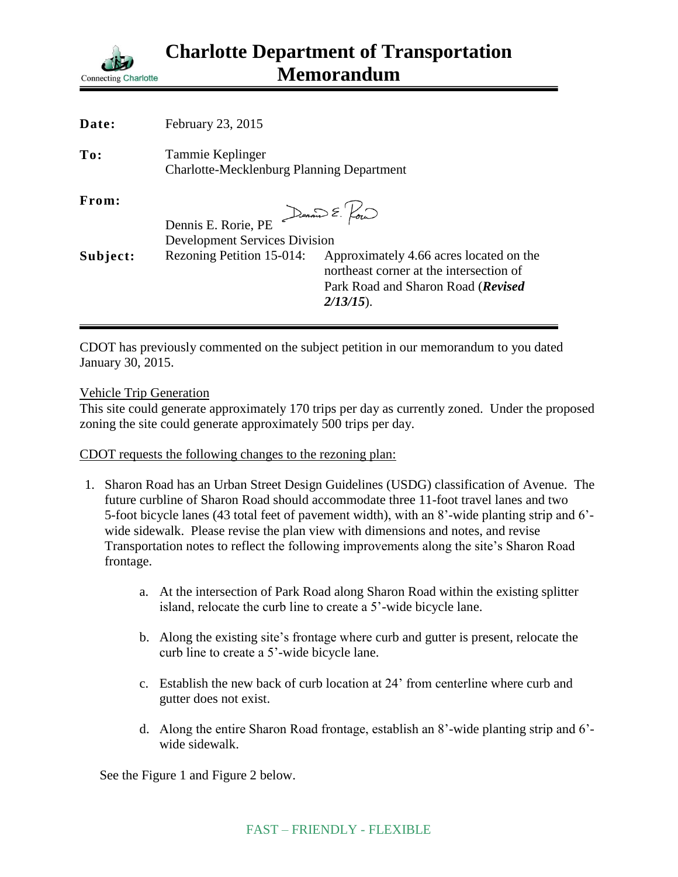

| Date:    | February 23, 2015                                                             |                                                                                                                                          |
|----------|-------------------------------------------------------------------------------|------------------------------------------------------------------------------------------------------------------------------------------|
| To:      | Tammie Keplinger<br><b>Charlotte-Mecklenburg Planning Department</b>          |                                                                                                                                          |
| From:    | Dennis E. Pour<br>Dennis E. Rorie, PE<br><b>Development Services Division</b> |                                                                                                                                          |
| Subject: | Rezoning Petition 15-014:                                                     | Approximately 4.66 acres located on the<br>northeast corner at the intersection of<br>Park Road and Sharon Road (Revised<br>$2/13/15$ ). |

CDOT has previously commented on the subject petition in our memorandum to you dated January 30, 2015.

## Vehicle Trip Generation

This site could generate approximately 170 trips per day as currently zoned. Under the proposed zoning the site could generate approximately 500 trips per day.

CDOT requests the following changes to the rezoning plan:

- 1. Sharon Road has an Urban Street Design Guidelines (USDG) classification of Avenue. The future curbline of Sharon Road should accommodate three 11-foot travel lanes and two 5-foot bicycle lanes (43 total feet of pavement width), with an 8'-wide planting strip and 6' wide sidewalk. Please revise the plan view with dimensions and notes, and revise Transportation notes to reflect the following improvements along the site's Sharon Road frontage.
	- a. At the intersection of Park Road along Sharon Road within the existing splitter island, relocate the curb line to create a 5'-wide bicycle lane.
	- b. Along the existing site's frontage where curb and gutter is present, relocate the curb line to create a 5'-wide bicycle lane.
	- c. Establish the new back of curb location at 24' from centerline where curb and gutter does not exist.
	- d. Along the entire Sharon Road frontage, establish an 8'-wide planting strip and 6' wide sidewalk.

See the Figure 1 and Figure 2 below.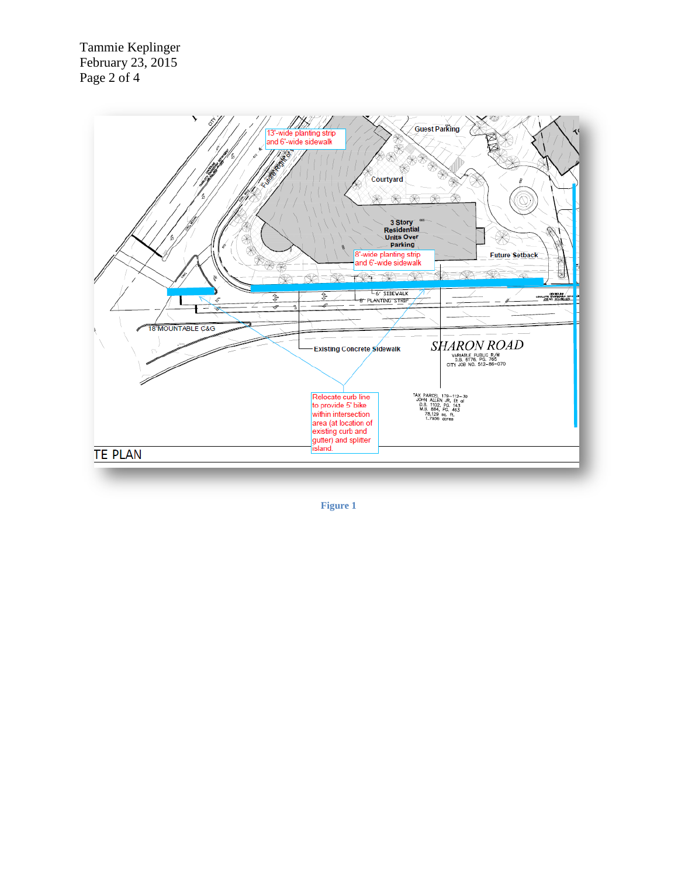Tammie Keplinger February 23, 2015 Page 2 of 4



**Figure 1**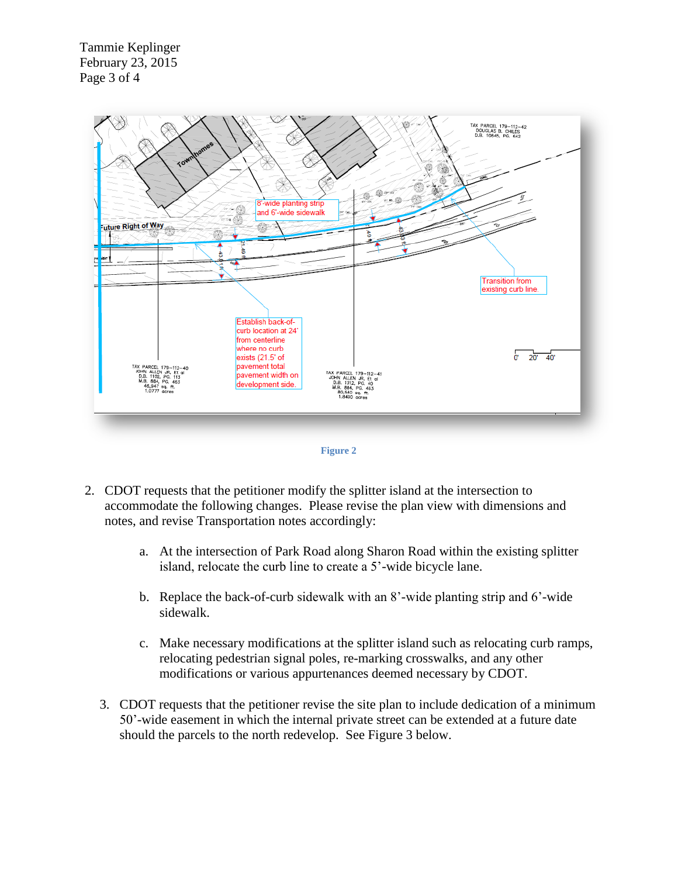Tammie Keplinger February 23, 2015 Page 3 of 4





- 2. CDOT requests that the petitioner modify the splitter island at the intersection to accommodate the following changes. Please revise the plan view with dimensions and notes, and revise Transportation notes accordingly:
	- a. At the intersection of Park Road along Sharon Road within the existing splitter island, relocate the curb line to create a 5'-wide bicycle lane.
	- b. Replace the back-of-curb sidewalk with an 8'-wide planting strip and 6'-wide sidewalk.
	- c. Make necessary modifications at the splitter island such as relocating curb ramps, relocating pedestrian signal poles, re-marking crosswalks, and any other modifications or various appurtenances deemed necessary by CDOT.
	- 3. CDOT requests that the petitioner revise the site plan to include dedication of a minimum 50'-wide easement in which the internal private street can be extended at a future date should the parcels to the north redevelop. See Figure 3 below.